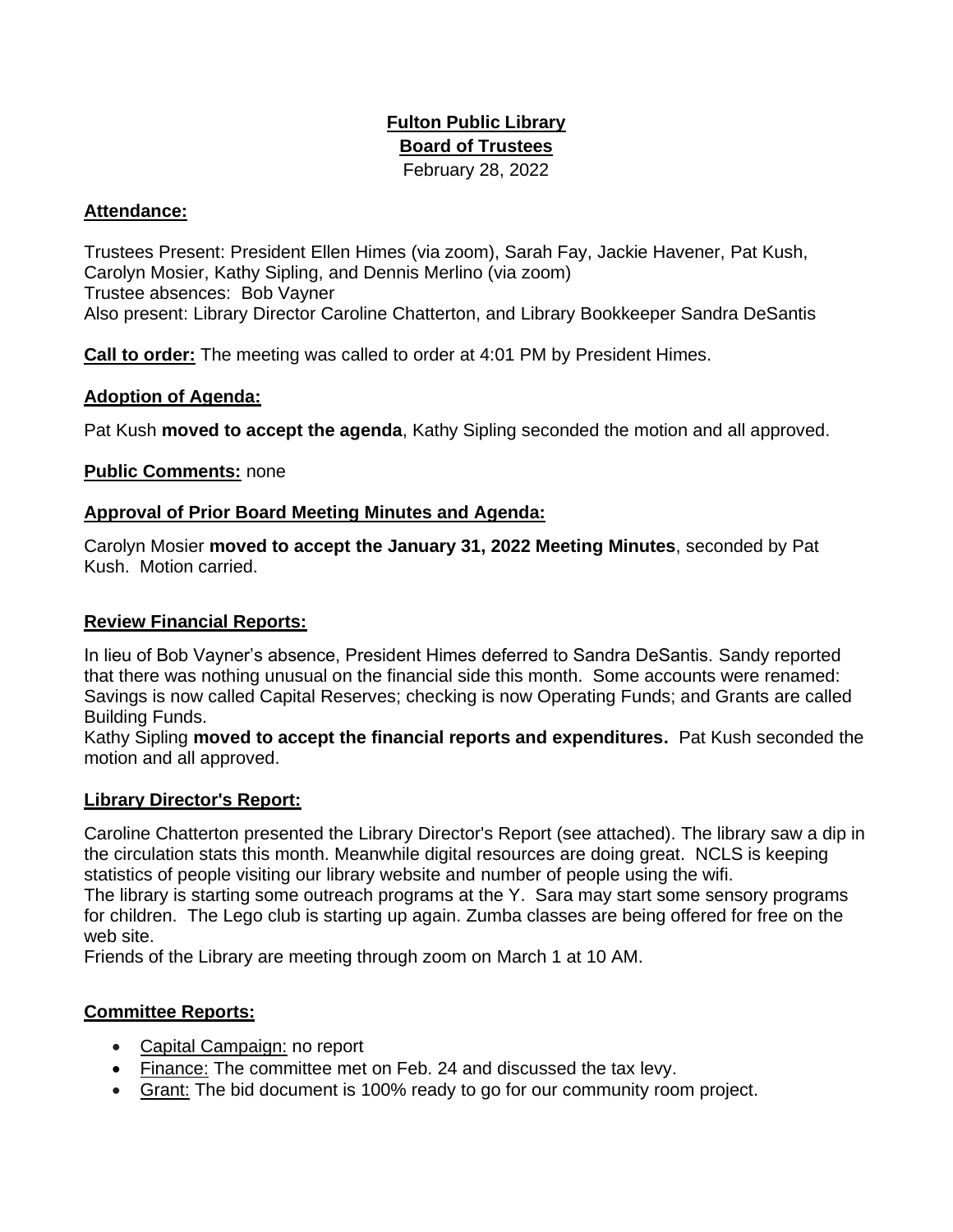# **Fulton Public Library Board of Trustees**  February 28, 2022

### **Attendance:**

Trustees Present: President Ellen Himes (via zoom), Sarah Fay, Jackie Havener, Pat Kush, Carolyn Mosier, Kathy Sipling, and Dennis Merlino (via zoom) Trustee absences: Bob Vayner Also present: Library Director Caroline Chatterton, and Library Bookkeeper Sandra DeSantis

**Call to order:** The meeting was called to order at 4:01 PM by President Himes.

#### **Adoption of Agenda:**

Pat Kush **moved to accept the agenda**, Kathy Sipling seconded the motion and all approved.

# **Public Comments:** none

#### **Approval of Prior Board Meeting Minutes and Agenda:**

Carolyn Mosier **moved to accept the January 31, 2022 Meeting Minutes**, seconded by Pat Kush. Motion carried.

### **Review Financial Reports:**

In lieu of Bob Vayner's absence, President Himes deferred to Sandra DeSantis. Sandy reported that there was nothing unusual on the financial side this month. Some accounts were renamed: Savings is now called Capital Reserves; checking is now Operating Funds; and Grants are called Building Funds.

Kathy Sipling **moved to accept the financial reports and expenditures.** Pat Kush seconded the motion and all approved.

# **Library Director's Report:**

Caroline Chatterton presented the Library Director's Report (see attached). The library saw a dip in the circulation stats this month. Meanwhile digital resources are doing great. NCLS is keeping statistics of people visiting our library website and number of people using the wifi.

The library is starting some outreach programs at the Y. Sara may start some sensory programs for children. The Lego club is starting up again. Zumba classes are being offered for free on the web site.

Friends of the Library are meeting through zoom on March 1 at 10 AM.

# **Committee Reports:**

- Capital Campaign: no report
- Finance: The committee met on Feb. 24 and discussed the tax levy.
- Grant: The bid document is 100% ready to go for our community room project.